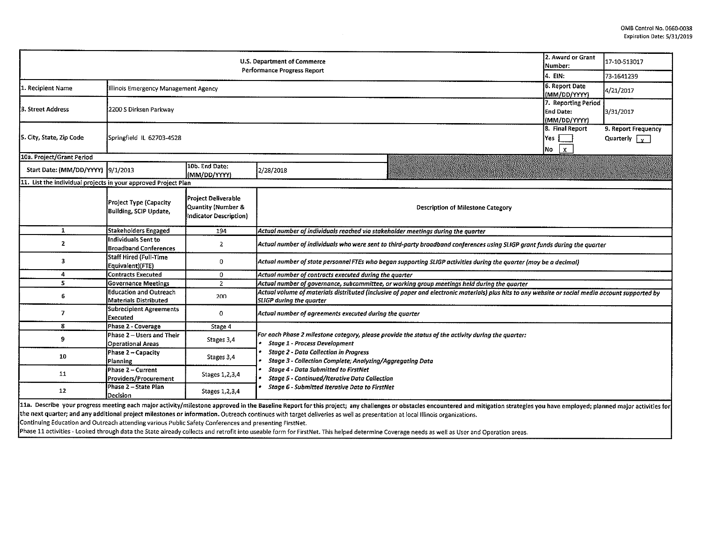| 2. Award or Grant<br>U.S. Department of Commerce<br>Number:<br>Performance Progress Report                                                                                                                                                                                                                                                                                                                   |                                                                                                                                                                      |                                                                     |                                                                                                                                                                                                                                                                                                                                                                                                                         |            | 17-10-513017 |  |  |  |  |
|--------------------------------------------------------------------------------------------------------------------------------------------------------------------------------------------------------------------------------------------------------------------------------------------------------------------------------------------------------------------------------------------------------------|----------------------------------------------------------------------------------------------------------------------------------------------------------------------|---------------------------------------------------------------------|-------------------------------------------------------------------------------------------------------------------------------------------------------------------------------------------------------------------------------------------------------------------------------------------------------------------------------------------------------------------------------------------------------------------------|------------|--------------|--|--|--|--|
|                                                                                                                                                                                                                                                                                                                                                                                                              |                                                                                                                                                                      |                                                                     | 4. EIN:                                                                                                                                                                                                                                                                                                                                                                                                                 | 73-1641239 |              |  |  |  |  |
| 1. Recipient Name                                                                                                                                                                                                                                                                                                                                                                                            | Illinois Emergency Management Agency                                                                                                                                 | 6. Report Date<br>(MM/DD/YYYY)                                      | 4/21/2017                                                                                                                                                                                                                                                                                                                                                                                                               |            |              |  |  |  |  |
| 3. Street Address                                                                                                                                                                                                                                                                                                                                                                                            | 2200 S Dirksen Parkway                                                                                                                                               | 7. Reporting Period<br><b>End Date:</b><br>(MM/DD/YYYY)             | 3/31/2017                                                                                                                                                                                                                                                                                                                                                                                                               |            |              |  |  |  |  |
| 5. City, State, Zip Code                                                                                                                                                                                                                                                                                                                                                                                     | Springfield IL 62703-4528                                                                                                                                            | 8. Final Report<br>Yes <b>Net</b><br>$\mathbf{x}$<br>No             | 9. Report Frequency<br>Quarterly $\sqrt{v}$                                                                                                                                                                                                                                                                                                                                                                             |            |              |  |  |  |  |
| 10a. Project/Grant Period                                                                                                                                                                                                                                                                                                                                                                                    |                                                                                                                                                                      |                                                                     |                                                                                                                                                                                                                                                                                                                                                                                                                         |            |              |  |  |  |  |
| Start Date: (MM/DD/YYYY) 9/1/2013                                                                                                                                                                                                                                                                                                                                                                            |                                                                                                                                                                      | 10b. End Date:<br>(MM/DD/YYYY)                                      | 2/28/2018                                                                                                                                                                                                                                                                                                                                                                                                               |            |              |  |  |  |  |
| 11. List the individual projects in your approved Project Plan                                                                                                                                                                                                                                                                                                                                               |                                                                                                                                                                      |                                                                     |                                                                                                                                                                                                                                                                                                                                                                                                                         |            |              |  |  |  |  |
|                                                                                                                                                                                                                                                                                                                                                                                                              | Project Type (Capacity<br>Building, SCIP Update,                                                                                                                     | Project Deliverable<br>Quantity (Number &<br>Indicator Description) | <b>Description of Milestone Category</b>                                                                                                                                                                                                                                                                                                                                                                                |            |              |  |  |  |  |
| $\mathbf{1}$                                                                                                                                                                                                                                                                                                                                                                                                 | Stakeholders Engaged                                                                                                                                                 | 194                                                                 | Actual number of individuals reached via stakeholder meetings during the quarter                                                                                                                                                                                                                                                                                                                                        |            |              |  |  |  |  |
| $\mathbf{2}$                                                                                                                                                                                                                                                                                                                                                                                                 | Individuals Sent to<br><b>Broadband Conferences</b>                                                                                                                  | $\overline{2}$                                                      | Actual number of individuals who were sent to third-party broadband conferences using SLIGP grant funds during the quarter                                                                                                                                                                                                                                                                                              |            |              |  |  |  |  |
| 3                                                                                                                                                                                                                                                                                                                                                                                                            | Staff Hired (Full-Time<br>0<br>Actual number of state personnel FTEs who began supporting SLIGP activities during the quarter (may be a decimal)<br>Equivalent)(FTE) |                                                                     |                                                                                                                                                                                                                                                                                                                                                                                                                         |            |              |  |  |  |  |
| 4                                                                                                                                                                                                                                                                                                                                                                                                            | <b>Contracts Executed</b>                                                                                                                                            | 0                                                                   | Actual number of contracts executed during the quarter                                                                                                                                                                                                                                                                                                                                                                  |            |              |  |  |  |  |
| 5                                                                                                                                                                                                                                                                                                                                                                                                            | <b>Governance Meetings</b>                                                                                                                                           | $\overline{2}$                                                      | Actual number of governance, subcommittee, or working group meetings held during the quarter                                                                                                                                                                                                                                                                                                                            |            |              |  |  |  |  |
| 6.                                                                                                                                                                                                                                                                                                                                                                                                           | Education and Outreach<br><b>Materials Distributed</b>                                                                                                               | 200                                                                 | Actual volume of materials distributed (inclusive of paper and electronic materials) plus hits to any website or social media account supported by<br><b>SLIGP</b> during the quarter                                                                                                                                                                                                                                   |            |              |  |  |  |  |
| 7                                                                                                                                                                                                                                                                                                                                                                                                            | Subrecipient Agreements<br>Executed                                                                                                                                  | 0                                                                   | Actual number of agreements executed during the quarter                                                                                                                                                                                                                                                                                                                                                                 |            |              |  |  |  |  |
| 8                                                                                                                                                                                                                                                                                                                                                                                                            | Phase 2 - Coverage                                                                                                                                                   | Stage 4                                                             |                                                                                                                                                                                                                                                                                                                                                                                                                         |            |              |  |  |  |  |
| 9                                                                                                                                                                                                                                                                                                                                                                                                            | Phase 2 – Users and Their<br>Operational Areas                                                                                                                       | Stages 3.4                                                          | For each Phase 2 milestone category, please provide the status of the activity during the quarter:<br><b>Stage 1 - Process Development</b><br><b>Stage 2 - Data Collection in Progress</b><br>Stage 3 - Collection Complete; Analyzing/Aggregating Data<br><b>Stage 4 - Data Submitted to FirstNet</b><br><b>Stage 5 - Continued/Iterative Data Collection</b><br><b>Stage 6 - Submitted Iterative Data to FirstNet</b> |            |              |  |  |  |  |
| 10                                                                                                                                                                                                                                                                                                                                                                                                           | Phase 2 - Capacity<br><b>Planning</b>                                                                                                                                | Stages 3.4                                                          |                                                                                                                                                                                                                                                                                                                                                                                                                         |            |              |  |  |  |  |
| 11                                                                                                                                                                                                                                                                                                                                                                                                           | Phase 2 - Current<br>Providers/Procurement                                                                                                                           | Stages 1,2,3,4                                                      |                                                                                                                                                                                                                                                                                                                                                                                                                         |            |              |  |  |  |  |
| 12                                                                                                                                                                                                                                                                                                                                                                                                           | Phase 2 - State Plan<br>Decision                                                                                                                                     | Stages 1,2,3,4                                                      |                                                                                                                                                                                                                                                                                                                                                                                                                         |            |              |  |  |  |  |
| 11a. Describe your progress meeting each major activity/milestone approved in the Baseline Report for this project; any challenges or obstacles encountered and mitigation strategies you have employed; planned major activit<br>the next quarter; and any additional project milestones or information. Outreach continues with target deliveries as well as presentation at local Illinois organizations. |                                                                                                                                                                      |                                                                     |                                                                                                                                                                                                                                                                                                                                                                                                                         |            |              |  |  |  |  |

Continuing Education and Outreach attending various Public Safety Conferences and presenting FirstNet.

Phase 11 activities - looked through data the State already collects and retrofit into useable form for FirstNet. This helped determine Coverage needs as well as User and Operation areas.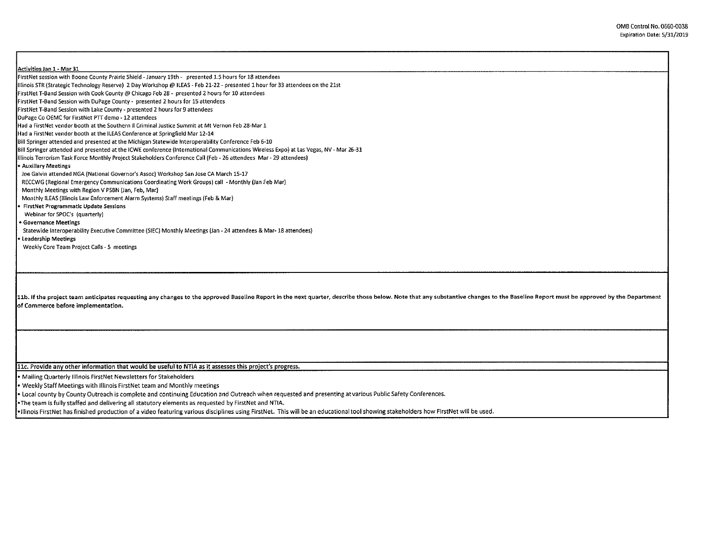| Activities Jan 1 - Mar 31<br>FirstNet session with Boone County Prairie Shield - January 19th - presented 1.5 hours for 18 attendees                                                                                           |
|--------------------------------------------------------------------------------------------------------------------------------------------------------------------------------------------------------------------------------|
| Illinois STR (Strategic Technology Reserve) 2 Day Workshop @ ILEAS - Feb 21-22 - presented 1 hour for 33 attendees on the 21st                                                                                                 |
| FirstNet T-Band Session with Cook County @ Chicago Feb 28 - presented 2 hours for 10 attendees                                                                                                                                 |
|                                                                                                                                                                                                                                |
| FirstNet T-Band Session with DuPage County - presented 2 hours for 15 attendees                                                                                                                                                |
| FirstNet T-Band Session with Lake County - presented 2 hours for 9 attendees                                                                                                                                                   |
| DuPage Co OEMC for FirstNet PTT demo - 12 attendees                                                                                                                                                                            |
| Had a FirstNet vendor booth at the Southern II Criminal Justice Summit at Mt Vernon Feb 28-Mar 1                                                                                                                               |
| Had a FirstNet vendor booth at the ILEAS Conference at Springfield Mar 12-14                                                                                                                                                   |
| Bill Springer attended and presented at the Michigan Statewide Interoperability Conference Feb 6-10                                                                                                                            |
| Bill Springer attended and presented at the ICWE conference (International Communications Wireless Expo) at Las Vegas, NV - Mar 26-31                                                                                          |
| Illinois Terrorism Task Force Monthly Project Stakeholders Conference Call (Feb - 26 attendees Mar - 29 attendees)                                                                                                             |
| Auxillary Meetings                                                                                                                                                                                                             |
| Joe Galvin attended NGA (National Governor's Assoc) Workshop San Jose CA March 15-17                                                                                                                                           |
| RECCWG (Regional Emergency Communications Coordinating Work Groups) call - Monthly (Jan Feb Mar)                                                                                                                               |
| Monthly Meetings with Region V PSBN (Jan, Feb, Mar)                                                                                                                                                                            |
| Monthly ILEAS (Illinois Law Enforcement Alarm Systems) Staff meetings (Feb & Mar)                                                                                                                                              |
| FirstNet Programmatic Update Sessions                                                                                                                                                                                          |
| Webinar for SPOC's (quarterly)                                                                                                                                                                                                 |
| <b>• Governance Meetings</b>                                                                                                                                                                                                   |
| Statewide Interoperability Executive Committee (SIEC) Monthly Meetings (Jan - 24 attendees & Mar- 18 attendees)                                                                                                                |
| Leadership Meetings                                                                                                                                                                                                            |
| Weekly Core Team Project Calls - 5 meetings                                                                                                                                                                                    |
|                                                                                                                                                                                                                                |
|                                                                                                                                                                                                                                |
|                                                                                                                                                                                                                                |
| 11b. If the project team anticipates requesting any changes to the approved Baseline Report in the next quarter, describe those below. Note that any substantive changes to the Baseline Report must be approved by the Depart |
| of Commerce before implementation.                                                                                                                                                                                             |
|                                                                                                                                                                                                                                |
|                                                                                                                                                                                                                                |
|                                                                                                                                                                                                                                |
|                                                                                                                                                                                                                                |
|                                                                                                                                                                                                                                |
|                                                                                                                                                                                                                                |
| 11c. Provide any other information that would be useful to NTIA as it assesses this project's progress.                                                                                                                        |
| • Mailing Quarterly Illinois FirstNet Newsletters for Stakeholders                                                                                                                                                             |
| • Weekly Staff Meetings with Illinois FirstNet team and Monthly meetings                                                                                                                                                       |
| . Local county by County Outreach is complete and continuing Education and Outreach when requested and presenting at various Public Safety Conferences.                                                                        |

•The team is fully staffed and delivering all statutory elements as requested by FirstNet and NTIA.

Г

•Illinois First Net has finished production of a video featuring various disciplines using FirstNet. This will be an educational tool showing stakeholders how FirstNet will be used.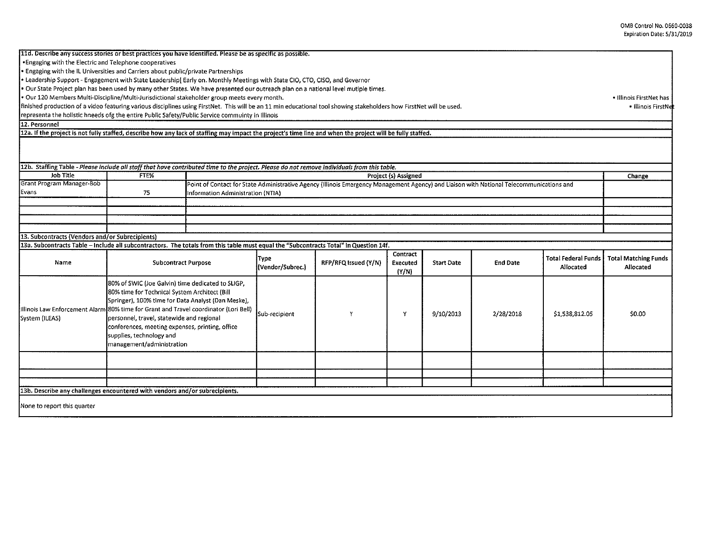| 11d. Describe any success stories or best practices you have identified. Please be as specific as possible.                                                          |                                                                                                                                                          |  |                                                                                                                                                                               |                      |                      |                   |                 |                                  |                                          |
|----------------------------------------------------------------------------------------------------------------------------------------------------------------------|----------------------------------------------------------------------------------------------------------------------------------------------------------|--|-------------------------------------------------------------------------------------------------------------------------------------------------------------------------------|----------------------|----------------------|-------------------|-----------------|----------------------------------|------------------------------------------|
| *Engaging with the Electric and Telephone cooperatives                                                                                                               |                                                                                                                                                          |  |                                                                                                                                                                               |                      |                      |                   |                 |                                  |                                          |
| · Engaging with the IL Universities and Carriers about public/private Partnerships                                                                                   |                                                                                                                                                          |  |                                                                                                                                                                               |                      |                      |                   |                 |                                  |                                          |
| Leadership Support - Engagement with State Leadership [Early on. Monthly Meetings with State CIO, CTO, CISO, and Governor                                            |                                                                                                                                                          |  |                                                                                                                                                                               |                      |                      |                   |                 |                                  |                                          |
| . Our State Project plan has been used by many other States. We have presented our outreach plan on a national level mutiple times.                                  |                                                                                                                                                          |  |                                                                                                                                                                               |                      |                      |                   |                 |                                  |                                          |
| · Our 120 Members Multi-Discipline/Multi-Jurisdictional stakeholder group meets every month.                                                                         |                                                                                                                                                          |  |                                                                                                                                                                               |                      |                      |                   |                 |                                  | • Illinois FirstNet has                  |
| finished production of a video featuring various disciplines using FirstNet. This will be an 11 min educational tool showing stakeholders how FirstNet will be used. |                                                                                                                                                          |  |                                                                                                                                                                               |                      |                      |                   |                 |                                  | • Illinois FirstNe                       |
| representa the holistic hneeds ofg the entire Public Safety/Public Service commuinty in Illinois                                                                     |                                                                                                                                                          |  |                                                                                                                                                                               |                      |                      |                   |                 |                                  |                                          |
| 12. Personnel                                                                                                                                                        |                                                                                                                                                          |  |                                                                                                                                                                               |                      |                      |                   |                 |                                  |                                          |
| 12a. If the project is not fully staffed, describe how any lack of staffing may impact the project's time line and when the project will be fully staffed.           |                                                                                                                                                          |  |                                                                                                                                                                               |                      |                      |                   |                 |                                  |                                          |
|                                                                                                                                                                      |                                                                                                                                                          |  |                                                                                                                                                                               |                      |                      |                   |                 |                                  |                                          |
| 12b. Staffing Table - Please include all staff that have contributed time to the project. Please do not remove individuals from this table.                          |                                                                                                                                                          |  |                                                                                                                                                                               |                      |                      |                   |                 |                                  |                                          |
| Job Title                                                                                                                                                            | FTE%                                                                                                                                                     |  |                                                                                                                                                                               |                      | Project (s) Assigned |                   |                 |                                  | Change                                   |
| Grant Program Manager-Bob<br>Evans                                                                                                                                   | 75                                                                                                                                                       |  | Point of Contact for State Administrative Agency (Illinois Emergency Management Agency) and Liaison with National Telecommunications and<br>Information Administration (NTIA) |                      |                      |                   |                 |                                  |                                          |
|                                                                                                                                                                      |                                                                                                                                                          |  |                                                                                                                                                                               |                      |                      |                   |                 |                                  |                                          |
|                                                                                                                                                                      |                                                                                                                                                          |  |                                                                                                                                                                               |                      |                      |                   |                 |                                  |                                          |
|                                                                                                                                                                      |                                                                                                                                                          |  |                                                                                                                                                                               |                      |                      |                   |                 |                                  |                                          |
|                                                                                                                                                                      |                                                                                                                                                          |  |                                                                                                                                                                               |                      |                      |                   |                 |                                  |                                          |
| 13. Subcontracts (Vendors and/or Subrecipients)                                                                                                                      |                                                                                                                                                          |  |                                                                                                                                                                               |                      |                      |                   |                 |                                  |                                          |
| 13a. Subcontracts Table - Include all subcontractors. The totals from this table must equal the "Subcontracts Total" in Question 14f.                                |                                                                                                                                                          |  |                                                                                                                                                                               |                      |                      |                   |                 |                                  |                                          |
|                                                                                                                                                                      |                                                                                                                                                          |  |                                                                                                                                                                               |                      | Contract             |                   |                 |                                  |                                          |
| Name                                                                                                                                                                 | <b>Subcontract Purpose</b>                                                                                                                               |  | <b>Type</b><br>(Vendor/Subrec.)                                                                                                                                               | RFP/RFQ Issued (Y/N) | Executed<br>(Y/N)    | <b>Start Date</b> | <b>End Date</b> | Total Federal Funds<br>Allocated | <b>Total Matching Funds</b><br>Allocated |
|                                                                                                                                                                      |                                                                                                                                                          |  |                                                                                                                                                                               |                      |                      |                   |                 |                                  |                                          |
|                                                                                                                                                                      | 80% of SWIC (Joe Galvin) time dedicated to SLIGP,<br>80% time for Technical System Architect (Bill<br>Springer), 100% time for Data Analyst (Dan Meske), |  |                                                                                                                                                                               |                      |                      |                   |                 |                                  |                                          |
|                                                                                                                                                                      |                                                                                                                                                          |  |                                                                                                                                                                               |                      |                      |                   |                 |                                  |                                          |
|                                                                                                                                                                      |                                                                                                                                                          |  |                                                                                                                                                                               |                      |                      |                   |                 |                                  |                                          |
| Illinois Law Enforcement Alarm 80% time for Grant and Travel coordinator (Lori Bell)                                                                                 |                                                                                                                                                          |  | Sub-recipient                                                                                                                                                                 | Y                    | Y                    | 9/10/2013         | 2/28/2018       | \$1.538.812.05                   | \$0.00                                   |
| System (ILEAS)                                                                                                                                                       | personnel, travel, statewide and regional                                                                                                                |  |                                                                                                                                                                               |                      |                      |                   |                 |                                  |                                          |
|                                                                                                                                                                      | conferences, meeting expenses, printing, office                                                                                                          |  |                                                                                                                                                                               |                      |                      |                   |                 |                                  |                                          |
|                                                                                                                                                                      | supplies, technology and                                                                                                                                 |  |                                                                                                                                                                               |                      |                      |                   |                 |                                  |                                          |
|                                                                                                                                                                      | management/administration                                                                                                                                |  |                                                                                                                                                                               |                      |                      |                   |                 |                                  |                                          |
|                                                                                                                                                                      |                                                                                                                                                          |  |                                                                                                                                                                               |                      |                      |                   |                 |                                  |                                          |
|                                                                                                                                                                      |                                                                                                                                                          |  |                                                                                                                                                                               |                      |                      |                   |                 |                                  |                                          |
|                                                                                                                                                                      |                                                                                                                                                          |  |                                                                                                                                                                               |                      |                      |                   |                 |                                  |                                          |
|                                                                                                                                                                      |                                                                                                                                                          |  |                                                                                                                                                                               |                      |                      |                   |                 |                                  |                                          |
| 13b. Describe any challenges encountered with vendors and/or subrecipients.                                                                                          |                                                                                                                                                          |  |                                                                                                                                                                               |                      |                      |                   |                 |                                  |                                          |
| None to report this quarter                                                                                                                                          |                                                                                                                                                          |  |                                                                                                                                                                               |                      |                      |                   |                 |                                  |                                          |
|                                                                                                                                                                      |                                                                                                                                                          |  |                                                                                                                                                                               |                      |                      |                   |                 |                                  |                                          |